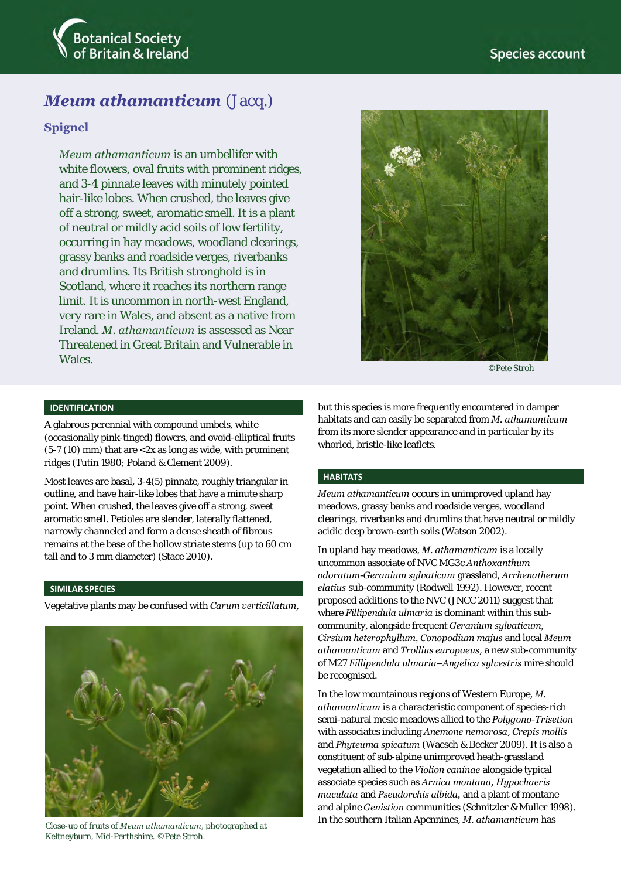

# *Meum athamanticum* (Jacq.)

# **Spignel**

*Meum athamanticum* is an umbellifer with white flowers, oval fruits with prominent ridges, and 3-4 pinnate leaves with minutely pointed hair-like lobes. When crushed, the leaves give off a strong, sweet, aromatic smell. It is a plant of neutral or mildly acid soils of low fertility, occurring in hay meadows, woodland clearings, grassy banks and roadside verges, riverbanks and drumlins. Its British stronghold is in Scotland, where it reaches its northern range limit. It is uncommon in north-west England, very rare in Wales, and absent as a native from Ireland. *M. athamanticum* is assessed as Near Threatened in Great Britain and Vulnerable in **Wales** 



©Pete Stroh

## **IDENTIFICATION**

A glabrous perennial with compound umbels, white (occasionally pink-tinged) flowers, and ovoid-elliptical fruits (5-7 (10) mm) that are <2x as long as wide, with prominent ridges (Tutin 1980; Poland & Clement 2009).

Most leaves are basal, 3-4(5) pinnate, roughly triangular in outline, and have hair-like lobes that have a minute sharp point. When crushed, the leaves give off a strong, sweet aromatic smell. Petioles are slender, laterally flattened, narrowly channeled and form a dense sheath of fibrous remains at the base of the hollow striate stems (up to 60 cm tall and to 3 mm diameter) (Stace 2010).

## **SIMILAR SPECIES**

Vegetative plants may be confused with *Carum verticillatum,* 



Close-up of fruits of *Meum athamanticum*, photographed at Keltneyburn, Mid-Perthshire. ©Pete Stroh.

but this species is more frequently encountered in damper habitats and can easily be separated from *M. athamanticum* from its more slender appearance and in particular by its whorled, bristle-like leaflets.

#### **HABITATS**

*Meum athamanticum* occurs in unimproved upland hay meadows, grassy banks and roadside verges, woodland clearings, riverbanks and drumlins that have neutral or mildly acidic deep brown-earth soils (Watson 2002).

In upland hay meadows, *M. athamanticum* is a locally uncommon associate of NVC MG3c *Anthoxanthum odoratum-Geranium sylvaticum* grassland, *Arrhenatherum elatius* sub-community (Rodwell 1992). However, recent proposed additions to the NVC (JNCC 2011) suggest that where *Fillipendula ulmaria* is dominant within this subcommunity, alongside frequent *Geranium sylvaticum, Cirsium heterophyllum, Conopodium majus* and local *Meum athamanticum* and *Trollius europaeus*, a new sub-community of M27 *Fillipendula ulmaria*–*Angelica sylvestris* mire should be recognised.

In the low mountainous regions of Western Europe, *M. athamanticum* is a characteristic component of species-rich semi-natural mesic meadows allied to the *Polygono-Trisetion* with associates including *Anemone nemorosa*, *Crepis mollis* and *Phyteuma spicatum* (Waesch & Becker 2009). It is also a constituent of sub-alpine unimproved heath-grassland vegetation allied to the *Violion caninae* alongside typical associate species such as *Arnica montana, Hypochaeris maculata* and *Pseudorchis albida,* and a plant of montane and alpine *Genistion* communities (Schnitzler & Muller 1998). In the southern Italian Apennines, *M. athamanticum* has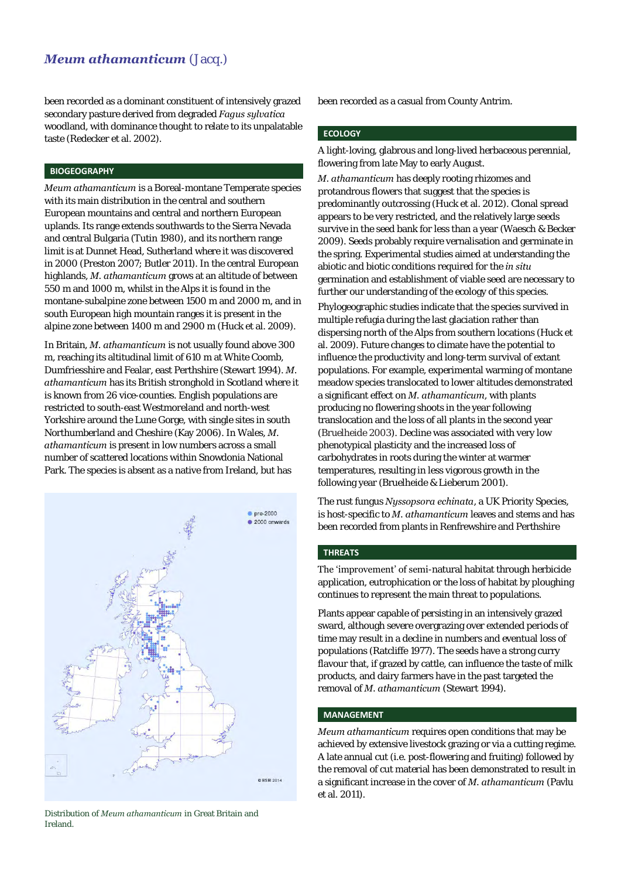# *Meum athamanticum* (Jacq.)

been recorded as a dominant constituent of intensively grazed secondary pasture derived from degraded *Fagus sylvatica* woodland, with dominance thought to relate to its unpalatable taste (Redecker et al. 2002).

## **BIOGEOGRAPHY**

*Meum athamanticum* is a Boreal-montane Temperate species with its main distribution in the central and southern European mountains and central and northern European uplands. Its range extends southwards to the Sierra Nevada and central Bulgaria (Tutin 1980), and its northern range limit is at Dunnet Head, Sutherland where it was discovered in 2000 (Preston 2007; Butler 2011). In the central European highlands, *M. athamanticum* grows at an altitude of between 550 m and 1000 m, whilst in the Alps it is found in the montane-subalpine zone between 1500 m and 2000 m, and in south European high mountain ranges it is present in the alpine zone between 1400 m and 2900 m (Huck et al. 2009).

In Britain, *M. athamanticum* is not usually found above 300 m, reaching its altitudinal limit of 610 m at White Coomb, Dumfriesshire and Fealar, east Perthshire (Stewart 1994). *M. athamanticum* has its British stronghold in Scotland where it is known from 26 vice-counties. English populations are restricted to south-east Westmoreland and north-west Yorkshire around the Lune Gorge, with single sites in south Northumberland and Cheshire (Kay 2006). In Wales, *M. athamanticum* is present in low numbers across a small number of scattered locations within Snowdonia National Park. The species is absent as a native from Ireland, but has



Distribution of *Meum athamanticum* in Great Britain and Ireland.

been recorded as a casual from County Antrim.

# **ECOLOGY**

A light-loving, glabrous and long-lived herbaceous perennial, flowering from late May to early August.

*M. athamanticum* has deeply rooting rhizomes and protandrous flowers that suggest that the species is predominantly outcrossing (Huck et al. 2012). Clonal spread appears to be very restricted, and the relatively large seeds survive in the seed bank for less than a year (Waesch & Becker 2009). Seeds probably require vernalisation and germinate in the spring. Experimental studies aimed at understanding the abiotic and biotic conditions required for the *in situ* germination and establishment of viable seed are necessary to further our understanding of the ecology of this species.

Phylogeographic studies indicate that the species survived in multiple refugia during the last glaciation rather than dispersing north of the Alps from southern locations (Huck et al. 2009). Future changes to climate have the potential to influence the productivity and long-term survival of extant populations. For example, experimental warming of montane meadow species translocated to lower altitudes demonstrated a significant effect on *M. athamanticum*, with plants producing no flowering shoots in the year following translocation and the loss of all plants in the second year (Bruelheide 2003). Decline was associated with very low phenotypical plasticity and the increased loss of carbohydrates in roots during the winter at warmer temperatures, resulting in less vigorous growth in the following year (Bruelheide & Lieberum 2001).

The rust fungus *Nyssopsora echinata*, a UK Priority Species, is host-specific to *M. athamanticum* leaves and stems and has been recorded from plants in Renfrewshire and Perthshire

# **THREATS**

The 'improvement' of semi-natural habitat through herbicide application, eutrophication or the loss of habitat by ploughing continues to represent the main threat to populations.

Plants appear capable of persisting in an intensively grazed sward, although severe overgrazing over extended periods of time may result in a decline in numbers and eventual loss of populations (Ratcliffe 1977). The seeds have a strong curry flavour that, if grazed by cattle, can influence the taste of milk products, and dairy farmers have in the past targeted the removal of *M. athamanticum* (Stewart 1994)*.* 

## **MANAGEMENT**

*Meum athamanticum* requires open conditions that may be achieved by extensive livestock grazing or via a cutting regime. A late annual cut (i.e. post-flowering and fruiting) followed by the removal of cut material has been demonstrated to result in a significant increase in the cover of *M. athamanticum* (Pavlu et al. 2011).